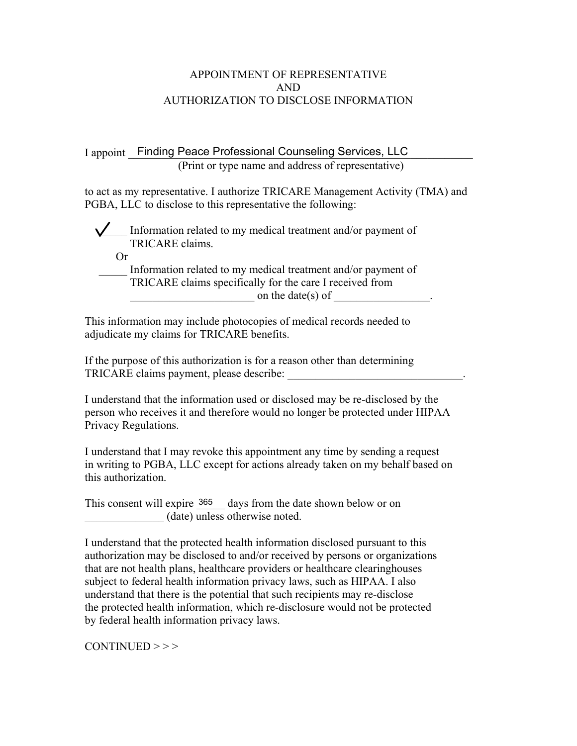## APPOINTMENT OF REPRESENTATIVE AND AUTHORIZATION TO DISCLOSE INFORMATION

I appoint \_\_Finding Peace Professional Counseling Services, LLC (Print or type name and address of representative)

to act as my representative. I authorize TRICARE Management Activity (TMA) and PGBA, LLC to disclose to this representative the following:

Information related to my medical treatment and/or payment of TRICARE claims.

Or

Information related to my medical treatment and/or payment of TRICARE claims specifically for the care I received from on the date(s) of  $\blacksquare$ 

This information may include photocopies of medical records needed to adjudicate my claims for TRICARE benefits.

If the purpose of this authorization is for a reason other than determining TRICARE claims payment, please describe:

I understand that the information used or disclosed may be re-disclosed by the person who receives it and therefore would no longer be protected under HIPAA Privacy Regulations.

I understand that I may revoke this appointment any time by sending a request in writing to PGBA, LLC except for actions already taken on my behalf based on this authorization.

This consent will expire  $\frac{365}{2}$  days from the date shown below or on \_\_\_\_\_\_\_\_\_\_\_\_\_\_ (date) unless otherwise noted.

I understand that the protected health information disclosed pursuant to this authorization may be disclosed to and/or received by persons or organizations that are not health plans, healthcare providers or healthcare clearinghouses subject to federal health information privacy laws, such as HIPAA. I also understand that there is the potential that such recipients may re-disclose the protected health information, which re-disclosure would not be protected by federal health information privacy laws.

 $CONTINUED$  > > >